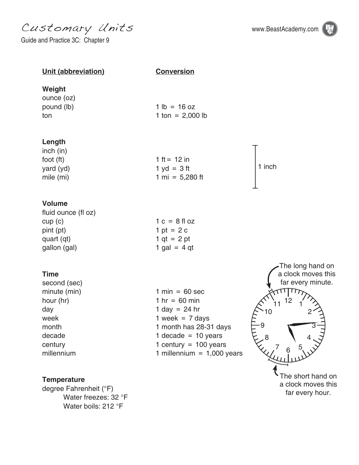Customary Units www.BeastAcademy.com

Guide and Practice 3C: Chapter 9





 Water freezes: 32 °F Water boils: 212 °F